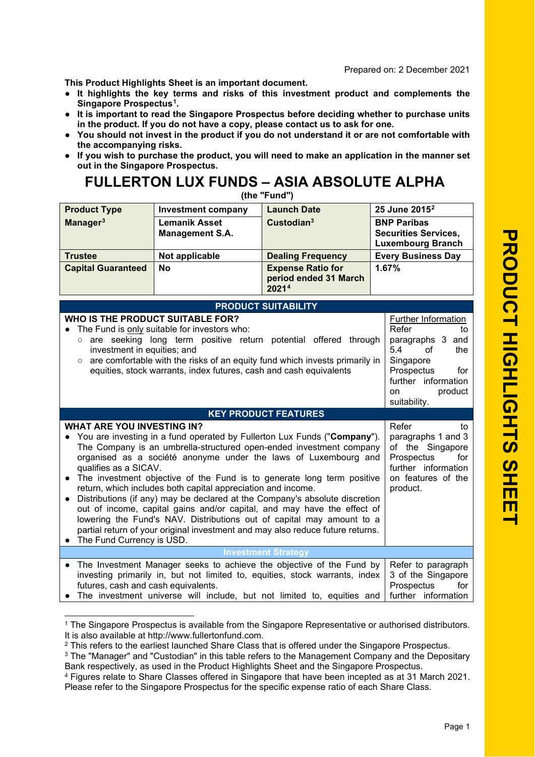**This Product Highlights Sheet is an important document.**

- **● It highlights the key terms and risks of this investment product and complements the Singapore Prospectus [1](#page-0-0) .**
- **● It is important to read the Singapore Prospectus before deciding whether to purchase unit s in the product. If you do not have a copy, please contact us to ask for one.**
- **● You should not invest in the product if you do not understand it or are not comfortable with the accompanying risks.**
- **● If you wish to purchase the product, you will need to make an application in the manner set out in the Singapore Prospectus.**

## **FULLERTON LUX FUNDS – ASIA ABSOLUTE ALPHA**

| (the "Fund")                                                                                                                                                                                                                                                                                                                                                                                                                                                                                                                                                                                                                                                                                                                                                                 |                                                                                                                                     |                                                                                                                                                                                                                               |                                                                                      |  |
|------------------------------------------------------------------------------------------------------------------------------------------------------------------------------------------------------------------------------------------------------------------------------------------------------------------------------------------------------------------------------------------------------------------------------------------------------------------------------------------------------------------------------------------------------------------------------------------------------------------------------------------------------------------------------------------------------------------------------------------------------------------------------|-------------------------------------------------------------------------------------------------------------------------------------|-------------------------------------------------------------------------------------------------------------------------------------------------------------------------------------------------------------------------------|--------------------------------------------------------------------------------------|--|
| <b>Product Type</b>                                                                                                                                                                                                                                                                                                                                                                                                                                                                                                                                                                                                                                                                                                                                                          | <b>Investment company</b>                                                                                                           | <b>Launch Date</b>                                                                                                                                                                                                            | 25 June 2015 <sup>2</sup>                                                            |  |
| Manager <sup>3</sup>                                                                                                                                                                                                                                                                                                                                                                                                                                                                                                                                                                                                                                                                                                                                                         | <b>Lemanik Asset</b><br><b>Management S.A.</b>                                                                                      | Custodian <sup>3</sup>                                                                                                                                                                                                        | <b>BNP Paribas</b><br><b>Securities Services,</b><br><b>Luxembourg Branch</b>        |  |
| <b>Trustee</b>                                                                                                                                                                                                                                                                                                                                                                                                                                                                                                                                                                                                                                                                                                                                                               | Not applicable                                                                                                                      | <b>Dealing Frequency</b>                                                                                                                                                                                                      | <b>Every Business Day</b>                                                            |  |
| <b>Capital Guaranteed</b>                                                                                                                                                                                                                                                                                                                                                                                                                                                                                                                                                                                                                                                                                                                                                    | <b>No</b>                                                                                                                           | <b>Expense Ratio for</b><br>period ended 31 March<br>20214                                                                                                                                                                    | 1.67%                                                                                |  |
|                                                                                                                                                                                                                                                                                                                                                                                                                                                                                                                                                                                                                                                                                                                                                                              |                                                                                                                                     | <b>PRODUCT SUITABILITY</b>                                                                                                                                                                                                    |                                                                                      |  |
| WHO IS THE PRODUCT SUITABLE FOR?<br>Further Information<br>Refer<br>The Fund is only suitable for investors who:<br>to<br>are seeking long term positive return potential offered through<br>paragraphs 3 and<br>investment in equities; and<br>5.4<br>of<br>the<br>○ are comfortable with the risks of an equity fund which invests primarily in<br>Singapore<br>equities, stock warrants, index futures, cash and cash equivalents<br>Prospectus<br>for<br>further information<br>product<br>on<br>suitability.                                                                                                                                                                                                                                                            |                                                                                                                                     |                                                                                                                                                                                                                               |                                                                                      |  |
|                                                                                                                                                                                                                                                                                                                                                                                                                                                                                                                                                                                                                                                                                                                                                                              |                                                                                                                                     | <b>KEY PRODUCT FEATURES</b>                                                                                                                                                                                                   |                                                                                      |  |
| <b>WHAT ARE YOU INVESTING IN?</b><br>You are investing in a fund operated by Fullerton Lux Funds ("Company").<br>The Company is an umbrella-structured open-ended investment company<br>organised as a société anonyme under the laws of Luxembourg and<br>qualifies as a SICAV.<br>The investment objective of the Fund is to generate long term positive<br>return, which includes both capital appreciation and income.<br>Distributions (if any) may be declared at the Company's absolute discretion<br>out of income, capital gains and/or capital, and may have the effect of<br>lowering the Fund's NAV. Distributions out of capital may amount to a<br>partial return of your original investment and may also reduce future returns.<br>The Fund Currency is USD. | Refer<br>to<br>paragraphs 1 and 3<br>of the Singapore<br>Prospectus<br>for<br>further information<br>on features of the<br>product. |                                                                                                                                                                                                                               |                                                                                      |  |
| <b>Investment Strategy</b>                                                                                                                                                                                                                                                                                                                                                                                                                                                                                                                                                                                                                                                                                                                                                   |                                                                                                                                     |                                                                                                                                                                                                                               |                                                                                      |  |
| $\bullet$<br>futures, cash and cash equivalents.                                                                                                                                                                                                                                                                                                                                                                                                                                                                                                                                                                                                                                                                                                                             |                                                                                                                                     | The Investment Manager seeks to achieve the objective of the Fund by<br>investing primarily in, but not limited to, equities, stock warrants, index<br>The investment universe will include, but not limited to, equities and | Refer to paragraph<br>3 of the Singapore<br>Prospectus<br>for<br>further information |  |

<span id="page-0-0"></span><sup>&</sup>lt;sup>1</sup> The Singapore Prospectus is available from the Singapore Representative or authorised distributors. It is also available at http://www.fullertonfund.com.

<sup>&</sup>lt;sup>2</sup> This refers to the earliest launched Share Class that is offered under the Singapore Prospectus.

<span id="page-0-2"></span><span id="page-0-1"></span><sup>&</sup>lt;sup>3</sup> The "Manager" and "Custodian" in this table refers to the Management Company and the Depositary Bank respectively, as used in the Product Highlights Sheet and the Singapore Prospectus.

<span id="page-0-3"></span><sup>4</sup> Figures relate to Share Classes offered in Singapore that have been incepted as at 31 March 2021. Please refer to the Singapore Prospectus for the specific expense ratio of each Share Class.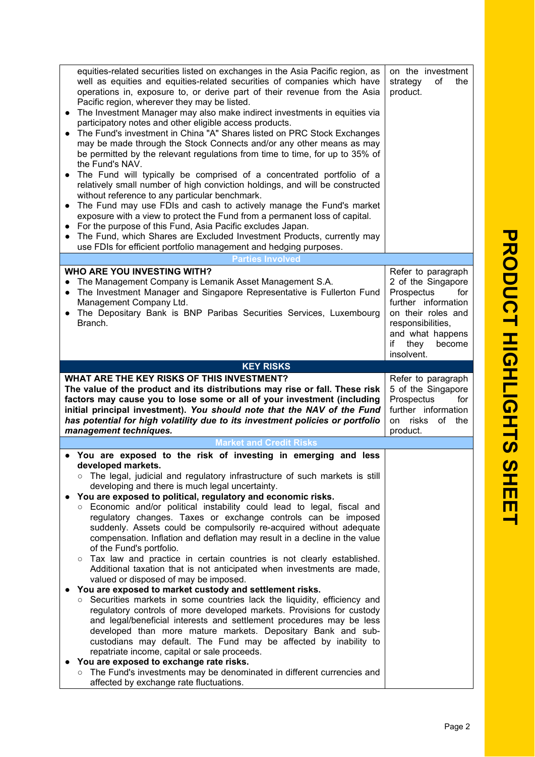| operations in, exposure to, or derive part of their revenue from the Asia<br>Pacific region, wherever they may be listed.<br>The Investment Manager may also make indirect investments in equities via<br>$\bullet$<br>participatory notes and other eligible access products.<br>The Fund's investment in China "A" Shares listed on PRC Stock Exchanges<br>may be made through the Stock Connects and/or any other means as may<br>be permitted by the relevant regulations from time to time, for up to 35% of<br>the Fund's NAV.<br>The Fund will typically be comprised of a concentrated portfolio of a<br>relatively small number of high conviction holdings, and will be constructed<br>without reference to any particular benchmark.<br>• The Fund may use FDIs and cash to actively manage the Fund's market<br>exposure with a view to protect the Fund from a permanent loss of capital.<br>For the purpose of this Fund, Asia Pacific excludes Japan.<br>The Fund, which Shares are Excluded Investment Products, currently may<br>use FDIs for efficient portfolio management and hedging purposes.<br><b>Parties Involved</b> | on the investment<br>strategy<br>of<br>the<br>product.                                                                                                                                    |
|------------------------------------------------------------------------------------------------------------------------------------------------------------------------------------------------------------------------------------------------------------------------------------------------------------------------------------------------------------------------------------------------------------------------------------------------------------------------------------------------------------------------------------------------------------------------------------------------------------------------------------------------------------------------------------------------------------------------------------------------------------------------------------------------------------------------------------------------------------------------------------------------------------------------------------------------------------------------------------------------------------------------------------------------------------------------------------------------------------------------------------------------|-------------------------------------------------------------------------------------------------------------------------------------------------------------------------------------------|
|                                                                                                                                                                                                                                                                                                                                                                                                                                                                                                                                                                                                                                                                                                                                                                                                                                                                                                                                                                                                                                                                                                                                                |                                                                                                                                                                                           |
| <b>WHO ARE YOU INVESTING WITH?</b><br>The Management Company is Lemanik Asset Management S.A.<br>The Investment Manager and Singapore Representative is Fullerton Fund<br>$\bullet$<br>Management Company Ltd.<br>The Depositary Bank is BNP Paribas Securities Services, Luxembourg<br>$\bullet$<br>Branch.                                                                                                                                                                                                                                                                                                                                                                                                                                                                                                                                                                                                                                                                                                                                                                                                                                   | Refer to paragraph<br>2 of the Singapore<br>Prospectus<br>for<br>further information<br>on their roles and<br>responsibilities,<br>and what happens<br>if<br>they<br>become<br>insolvent. |
| <b>KEY RISKS</b>                                                                                                                                                                                                                                                                                                                                                                                                                                                                                                                                                                                                                                                                                                                                                                                                                                                                                                                                                                                                                                                                                                                               |                                                                                                                                                                                           |
| WHAT ARE THE KEY RISKS OF THIS INVESTMENT?<br>The value of the product and its distributions may rise or fall. These risk<br>factors may cause you to lose some or all of your investment (including<br>initial principal investment). You should note that the NAV of the Fund<br>has potential for high volatility due to its investment policies or portfolio                                                                                                                                                                                                                                                                                                                                                                                                                                                                                                                                                                                                                                                                                                                                                                               | Refer to paragraph<br>5 of the Singapore<br>Prospectus<br>for<br>further information                                                                                                      |
| management techniques.                                                                                                                                                                                                                                                                                                                                                                                                                                                                                                                                                                                                                                                                                                                                                                                                                                                                                                                                                                                                                                                                                                                         | on risks<br>of the<br>product.                                                                                                                                                            |
|                                                                                                                                                                                                                                                                                                                                                                                                                                                                                                                                                                                                                                                                                                                                                                                                                                                                                                                                                                                                                                                                                                                                                |                                                                                                                                                                                           |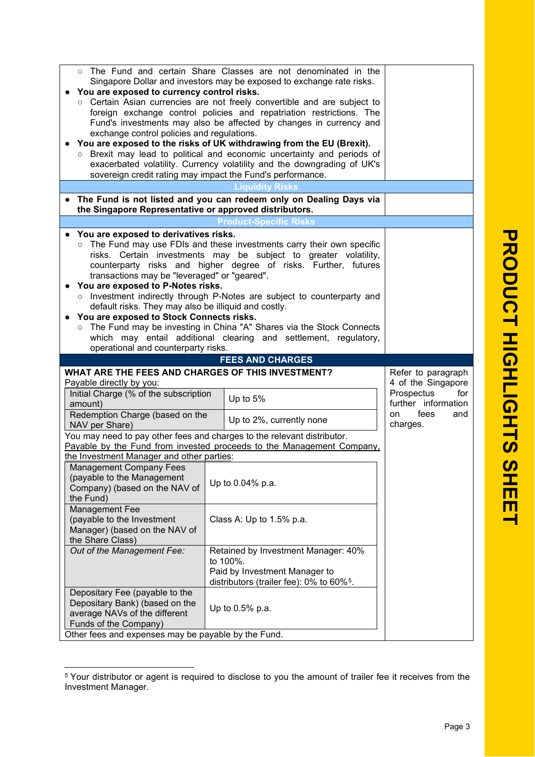| The Fund and certain Share Classes are not denominated in the<br>Singapore Dollar and investors may be exposed to exchange rate risks.<br>You are exposed to currency control risks.<br>Certain Asian currencies are not freely convertible and are subject to<br>foreign exchange control policies and repatriation restrictions. The<br>Fund's investments may also be affected by changes in currency and<br>exchange control policies and regulations.<br>You are exposed to the risks of UK withdrawing from the EU (Brexit).<br>o Brexit may lead to political and economic uncertainty and periods of<br>exacerbated volatility. Currency volatility and the downgrading of UK's<br>sovereign credit rating may impact the Fund's performance. |                                                                                                                                                                                                                                                                                                                                                                                                                                      |                                                                                                           |
|-------------------------------------------------------------------------------------------------------------------------------------------------------------------------------------------------------------------------------------------------------------------------------------------------------------------------------------------------------------------------------------------------------------------------------------------------------------------------------------------------------------------------------------------------------------------------------------------------------------------------------------------------------------------------------------------------------------------------------------------------------|--------------------------------------------------------------------------------------------------------------------------------------------------------------------------------------------------------------------------------------------------------------------------------------------------------------------------------------------------------------------------------------------------------------------------------------|-----------------------------------------------------------------------------------------------------------|
|                                                                                                                                                                                                                                                                                                                                                                                                                                                                                                                                                                                                                                                                                                                                                       | Liquidity Risks                                                                                                                                                                                                                                                                                                                                                                                                                      |                                                                                                           |
| the Singapore Representative or approved distributors.                                                                                                                                                                                                                                                                                                                                                                                                                                                                                                                                                                                                                                                                                                | The Fund is not listed and you can redeem only on Dealing Days via                                                                                                                                                                                                                                                                                                                                                                   |                                                                                                           |
|                                                                                                                                                                                                                                                                                                                                                                                                                                                                                                                                                                                                                                                                                                                                                       | <b>Product-Specific Risks</b>                                                                                                                                                                                                                                                                                                                                                                                                        |                                                                                                           |
| You are exposed to derivatives risks.                                                                                                                                                                                                                                                                                                                                                                                                                                                                                                                                                                                                                                                                                                                 |                                                                                                                                                                                                                                                                                                                                                                                                                                      |                                                                                                           |
| transactions may be "leveraged" or "geared".<br>You are exposed to P-Notes risks.<br>$\circ$<br>default risks. They may also be illiquid and costly.<br>You are exposed to Stock Connects risks.                                                                                                                                                                                                                                                                                                                                                                                                                                                                                                                                                      | ○ The Fund may use FDIs and these investments carry their own specific<br>risks. Certain investments may be subject to greater volatility,<br>counterparty risks and higher degree of risks. Further, futures<br>Investment indirectly through P-Notes are subject to counterparty and<br>○ The Fund may be investing in China "A" Shares via the Stock Connects<br>which may entail additional clearing and settlement, regulatory, |                                                                                                           |
| operational and counterparty risks.                                                                                                                                                                                                                                                                                                                                                                                                                                                                                                                                                                                                                                                                                                                   |                                                                                                                                                                                                                                                                                                                                                                                                                                      |                                                                                                           |
|                                                                                                                                                                                                                                                                                                                                                                                                                                                                                                                                                                                                                                                                                                                                                       | <b>FEES AND CHARGES</b>                                                                                                                                                                                                                                                                                                                                                                                                              |                                                                                                           |
| WHAT ARE THE FEES AND CHARGES OF THIS INVESTMENT?<br>Payable directly by you:<br>Initial Charge (% of the subscription<br>amount)<br>Redemption Charge (based on the                                                                                                                                                                                                                                                                                                                                                                                                                                                                                                                                                                                  | Up to 5%<br>Up to 2%, currently none                                                                                                                                                                                                                                                                                                                                                                                                 | Refer to paragraph<br>4 of the Singapore<br>Prospectus<br>for<br>further information<br>fees<br>on<br>and |
| NAV per Share)                                                                                                                                                                                                                                                                                                                                                                                                                                                                                                                                                                                                                                                                                                                                        |                                                                                                                                                                                                                                                                                                                                                                                                                                      | charges.                                                                                                  |
|                                                                                                                                                                                                                                                                                                                                                                                                                                                                                                                                                                                                                                                                                                                                                       | You may need to pay other fees and charges to the relevant distributor.<br>Payable by the Fund from invested proceeds to the Management Company,                                                                                                                                                                                                                                                                                     |                                                                                                           |
| the Investment Manager and other parties:                                                                                                                                                                                                                                                                                                                                                                                                                                                                                                                                                                                                                                                                                                             |                                                                                                                                                                                                                                                                                                                                                                                                                                      |                                                                                                           |
| Management Company Fees<br>(payable to the Management<br>Company) (based on the NAV of<br>the Fund)                                                                                                                                                                                                                                                                                                                                                                                                                                                                                                                                                                                                                                                   | Up to 0.04% p.a.                                                                                                                                                                                                                                                                                                                                                                                                                     |                                                                                                           |
| <b>Management Fee</b><br>(payable to the Investment<br>Manager) (based on the NAV of<br>the Share Class)                                                                                                                                                                                                                                                                                                                                                                                                                                                                                                                                                                                                                                              | Class A: Up to 1.5% p.a.                                                                                                                                                                                                                                                                                                                                                                                                             |                                                                                                           |
| Out of the Management Fee:                                                                                                                                                                                                                                                                                                                                                                                                                                                                                                                                                                                                                                                                                                                            | Retained by Investment Manager: 40%<br>to 100%.<br>Paid by Investment Manager to<br>distributors (trailer fee): 0% to 60% <sup>5</sup> .                                                                                                                                                                                                                                                                                             |                                                                                                           |
| Depositary Fee (payable to the<br>Depositary Bank) (based on the<br>average NAVs of the different<br>Funds of the Company)<br>Other fees and expenses may be payable by the Fund.                                                                                                                                                                                                                                                                                                                                                                                                                                                                                                                                                                     | Up to 0.5% p.a.                                                                                                                                                                                                                                                                                                                                                                                                                      |                                                                                                           |

PRODUCT HIGHLIGHTS SHE **PRODUCT HIGHLIGHTS SHEET**  $\blacksquare$ 

<span id="page-2-0"></span><sup>5</sup> Your distributor or agent is required to disclose to you the amount of trailer fee it receives from the Investment Manager.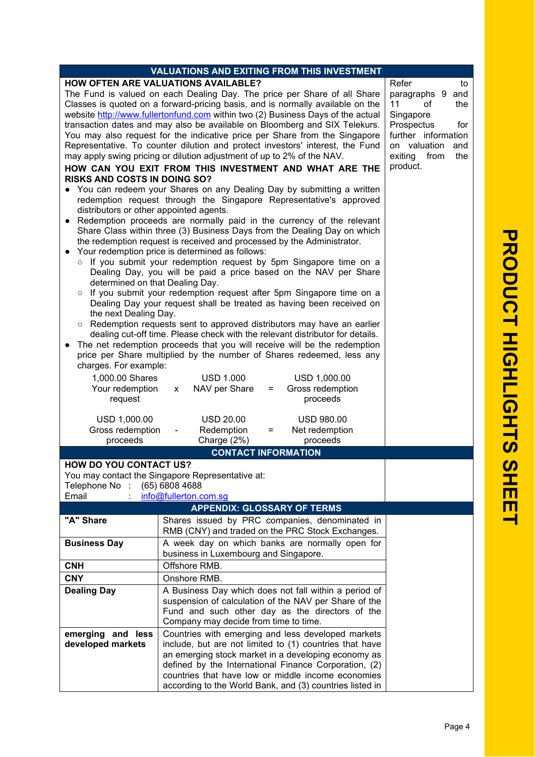| VALUATIONS AND EXITING FROM THIS INVESTMENT                                     |                                                                               |                        |  |  |
|---------------------------------------------------------------------------------|-------------------------------------------------------------------------------|------------------------|--|--|
|                                                                                 | <b>HOW OFTEN ARE VALUATIONS AVAILABLE?</b>                                    | Refer<br>to            |  |  |
| The Fund is valued on each Dealing Day. The price per Share of all Share        | paragraphs 9<br>and                                                           |                        |  |  |
| Classes is quoted on a forward-pricing basis, and is normally available on the  | 11<br>the<br>of                                                               |                        |  |  |
| website http://www.fullertonfund.com within two (2) Business Days of the actual | Singapore                                                                     |                        |  |  |
|                                                                                 | transaction dates and may also be available on Bloomberg and SIX Telekurs.    | Prospectus<br>for      |  |  |
|                                                                                 | You may also request for the indicative price per Share from the Singapore    | further information    |  |  |
|                                                                                 | Representative. To counter dilution and protect investors' interest, the Fund | on valuation<br>and    |  |  |
|                                                                                 | may apply swing pricing or dilution adjustment of up to 2% of the NAV.        | from<br>exiting<br>the |  |  |
|                                                                                 | HOW CAN YOU EXIT FROM THIS INVESTMENT AND WHAT ARE THE                        | product.               |  |  |
| <b>RISKS AND COSTS IN DOING SO?</b>                                             | You can redeem your Shares on any Dealing Day by submitting a written         |                        |  |  |
| redemption request through the Singapore Representative's approved              |                                                                               |                        |  |  |
| distributors or other appointed agents.                                         |                                                                               |                        |  |  |
| Redemption proceeds are normally paid in the currency of the relevant           |                                                                               |                        |  |  |
| Share Class within three (3) Business Days from the Dealing Day on which        |                                                                               |                        |  |  |
| the redemption request is received and processed by the Administrator.          |                                                                               |                        |  |  |
| Your redemption price is determined as follows:                                 |                                                                               |                        |  |  |
|                                                                                 | o If you submit your redemption request by 5pm Singapore time on a            |                        |  |  |
|                                                                                 | Dealing Day, you will be paid a price based on the NAV per Share              |                        |  |  |
| determined on that Dealing Day.                                                 |                                                                               |                        |  |  |
| o If you submit your redemption request after 5pm Singapore time on a           |                                                                               |                        |  |  |
| Dealing Day your request shall be treated as having been received on            |                                                                               |                        |  |  |
| the next Dealing Day.                                                           |                                                                               |                        |  |  |
|                                                                                 | o Redemption requests sent to approved distributors may have an earlier       |                        |  |  |
|                                                                                 | dealing cut-off time. Please check with the relevant distributor for details. |                        |  |  |
|                                                                                 | The net redemption proceeds that you will receive will be the redemption      |                        |  |  |
|                                                                                 | price per Share multiplied by the number of Shares redeemed, less any         |                        |  |  |
| charges. For example:                                                           |                                                                               |                        |  |  |
| 1,000.00 Shares                                                                 | USD 1.000<br>USD 1,000.00                                                     |                        |  |  |
| Your redemption                                                                 | Gross redemption<br>NAV per Share<br>$=$<br>$\mathsf{x}$                      |                        |  |  |
| request                                                                         | proceeds                                                                      |                        |  |  |
| USD 1,000.00                                                                    | <b>USD 20.00</b><br><b>USD 980.00</b>                                         |                        |  |  |
| Gross redemption                                                                | Redemption<br>Net redemption<br>=                                             |                        |  |  |
| proceeds                                                                        | Charge (2%)<br>proceeds                                                       |                        |  |  |
|                                                                                 | <b>CONTACT INFORMATION</b>                                                    |                        |  |  |
| <b>HOW DO YOU CONTACT US?</b>                                                   |                                                                               |                        |  |  |
|                                                                                 | You may contact the Singapore Representative at:                              |                        |  |  |
| Telephone No :                                                                  | (65) 6808 4688                                                                |                        |  |  |
| Email                                                                           | info@fullerton.com.sg                                                         |                        |  |  |
|                                                                                 | <b>APPENDIX: GLOSSARY OF TERMS</b>                                            |                        |  |  |
| "A" Share                                                                       | Shares issued by PRC companies, denominated in                                |                        |  |  |
|                                                                                 | RMB (CNY) and traded on the PRC Stock Exchanges.                              |                        |  |  |
| <b>Business Day</b>                                                             | A week day on which banks are normally open for                               |                        |  |  |
|                                                                                 | business in Luxembourg and Singapore.                                         |                        |  |  |
| <b>CNH</b>                                                                      | Offshore RMB.                                                                 |                        |  |  |
| <b>CNY</b>                                                                      | Onshore RMB.                                                                  |                        |  |  |
| <b>Dealing Day</b>                                                              | A Business Day which does not fall within a period of                         |                        |  |  |
|                                                                                 | suspension of calculation of the NAV per Share of the                         |                        |  |  |
|                                                                                 | Fund and such other day as the directors of the                               |                        |  |  |
|                                                                                 | Company may decide from time to time.                                         |                        |  |  |
| emerging and less                                                               | Countries with emerging and less developed markets                            |                        |  |  |
| include, but are not limited to (1) countries that have<br>developed markets    |                                                                               |                        |  |  |
| an emerging stock market in a developing economy as                             |                                                                               |                        |  |  |
| defined by the International Finance Corporation, (2)                           |                                                                               |                        |  |  |
|                                                                                 | countries that have low or middle income economies                            |                        |  |  |
|                                                                                 | according to the World Bank, and (3) countries listed in                      |                        |  |  |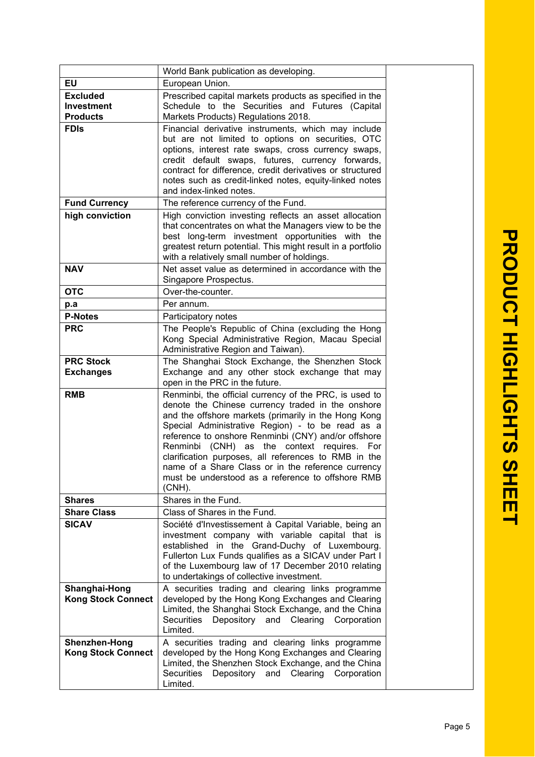|                                                         | World Bank publication as developing.                                                                                                                                                                                                                                                                                                                                                                                                                                                                         |  |
|---------------------------------------------------------|---------------------------------------------------------------------------------------------------------------------------------------------------------------------------------------------------------------------------------------------------------------------------------------------------------------------------------------------------------------------------------------------------------------------------------------------------------------------------------------------------------------|--|
| EU                                                      | European Union.                                                                                                                                                                                                                                                                                                                                                                                                                                                                                               |  |
| <b>Excluded</b><br><b>Investment</b><br><b>Products</b> | Prescribed capital markets products as specified in the<br>Schedule to the Securities and Futures (Capital<br>Markets Products) Regulations 2018.                                                                                                                                                                                                                                                                                                                                                             |  |
| <b>FDIS</b>                                             | Financial derivative instruments, which may include<br>but are not limited to options on securities, OTC<br>options, interest rate swaps, cross currency swaps,<br>credit default swaps, futures, currency forwards,<br>contract for difference, credit derivatives or structured<br>notes such as credit-linked notes, equity-linked notes<br>and index-linked notes.                                                                                                                                        |  |
| <b>Fund Currency</b>                                    | The reference currency of the Fund.                                                                                                                                                                                                                                                                                                                                                                                                                                                                           |  |
| high conviction                                         | High conviction investing reflects an asset allocation<br>that concentrates on what the Managers view to be the<br>best long-term investment opportunities with the<br>greatest return potential. This might result in a portfolio<br>with a relatively small number of holdings.                                                                                                                                                                                                                             |  |
| <b>NAV</b>                                              | Net asset value as determined in accordance with the<br>Singapore Prospectus.                                                                                                                                                                                                                                                                                                                                                                                                                                 |  |
| <b>OTC</b>                                              | Over-the-counter.                                                                                                                                                                                                                                                                                                                                                                                                                                                                                             |  |
| p.a                                                     | Per annum.                                                                                                                                                                                                                                                                                                                                                                                                                                                                                                    |  |
| <b>P-Notes</b>                                          | Participatory notes                                                                                                                                                                                                                                                                                                                                                                                                                                                                                           |  |
| <b>PRC</b>                                              | The People's Republic of China (excluding the Hong<br>Kong Special Administrative Region, Macau Special<br>Administrative Region and Taiwan).                                                                                                                                                                                                                                                                                                                                                                 |  |
| <b>PRC Stock</b><br><b>Exchanges</b>                    | The Shanghai Stock Exchange, the Shenzhen Stock<br>Exchange and any other stock exchange that may<br>open in the PRC in the future.                                                                                                                                                                                                                                                                                                                                                                           |  |
| <b>RMB</b>                                              | Renminbi, the official currency of the PRC, is used to<br>denote the Chinese currency traded in the onshore<br>and the offshore markets (primarily in the Hong Kong<br>Special Administrative Region) - to be read as a<br>reference to onshore Renminbi (CNY) and/or offshore<br>Renminbi (CNH) as the context requires. For<br>clarification purposes, all references to RMB in the<br>name of a Share Class or in the reference currency<br>must be understood as a reference to offshore RMB<br>$(CNH)$ . |  |
| <b>Shares</b>                                           | Shares in the Fund.                                                                                                                                                                                                                                                                                                                                                                                                                                                                                           |  |
| <b>Share Class</b>                                      | Class of Shares in the Fund.                                                                                                                                                                                                                                                                                                                                                                                                                                                                                  |  |
| <b>SICAV</b>                                            | Société d'Investissement à Capital Variable, being an<br>investment company with variable capital that is<br>established in the Grand-Duchy of Luxembourg.<br>Fullerton Lux Funds qualifies as a SICAV under Part I<br>of the Luxembourg law of 17 December 2010 relating<br>to undertakings of collective investment.                                                                                                                                                                                        |  |
| Shanghai-Hong<br><b>Kong Stock Connect</b>              | A securities trading and clearing links programme<br>developed by the Hong Kong Exchanges and Clearing<br>Limited, the Shanghai Stock Exchange, and the China<br>Depository and Clearing Corporation<br>Securities<br>Limited.                                                                                                                                                                                                                                                                                |  |
| Shenzhen-Hong<br><b>Kong Stock Connect</b>              | A securities trading and clearing links programme<br>developed by the Hong Kong Exchanges and Clearing<br>Limited, the Shenzhen Stock Exchange, and the China<br>Securities<br>Depository<br>and<br>Clearing<br>Corporation<br>Limited.                                                                                                                                                                                                                                                                       |  |